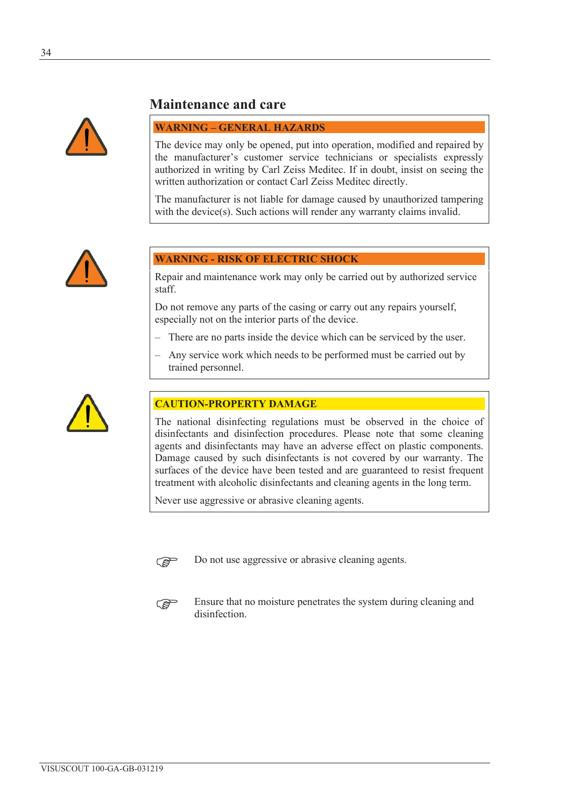

# **Maintenance and care**

#### **WARNING – GENERAL HAZARDS**

The device may only be opened, put into operation, modified and repaired by the manufacturer's customer service technicians or specialists expressly authorized in writing by Carl Zeiss Meditec. If in doubt, insist on seeing the written authorization or contact Carl Zeiss Meditec directly.

The manufacturer is not liable for damage caused by unauthorized tampering with the device(s). Such actions will render any warranty claims invalid.



### **WARNING - RISK OF ELECTRIC SHOCK**

Repair and maintenance work may only be carried out by authorized service staff.

Do not remove any parts of the casing or carry out any repairs yourself, especially not on the interior parts of the device.

- There are no parts inside the device which can be serviced by the user.
- Any service work which needs to be performed must be carried out by trained personnel.



### **CAUTION-PROPERTY DAMAGE**

The national disinfecting regulations must be observed in the choice of disinfectants and disinfection procedures. Please note that some cleaning agents and disinfectants may have an adverse effect on plastic components. Damage caused by such disinfectants is not covered by our warranty. The surfaces of the device have been tested and are guaranteed to resist frequent treatment with alcoholic disinfectants and cleaning agents in the long term.

Never use aggressive or abrasive cleaning agents.



 $\mathbb{R}$  Do not use aggressive or abrasive cleaning agents.



Ensure that no moisture penetrates the system during cleaning and disinfection.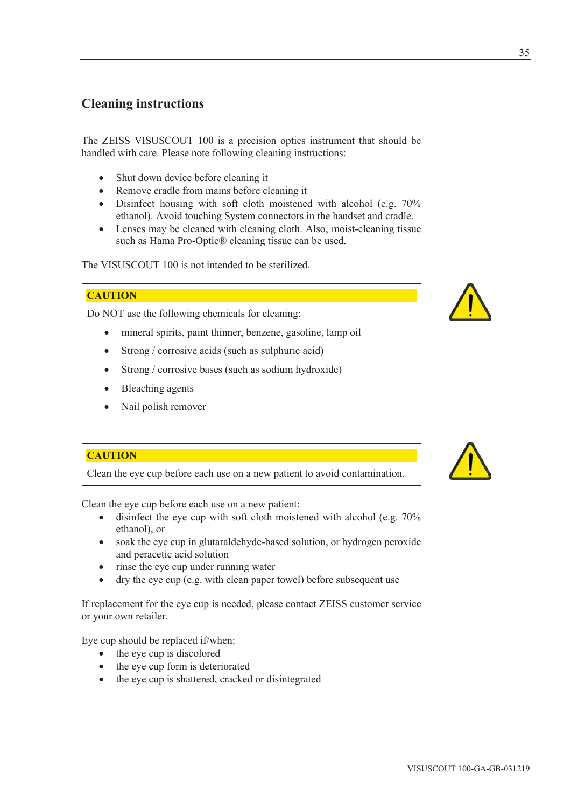# **Cleaning instructions**

The ZEISS VISUSCOUT 100 is a precision optics instrument that should be handled with care. Please note following cleaning instructions:

- Shut down device before cleaning it
- Remove cradle from mains before cleaning it
- $\bullet$  Disinfect housing with soft cloth moistened with alcohol (e.g. 70%) ethanol). Avoid touching System connectors in the handset and cradle.
- $\bullet$  Lenses may be cleaned with cleaning cloth. Also, moist-cleaning tissue such as Hama Pro-Optic® cleaning tissue can be used.

The VISUSCOUT 100 is not intended to be sterilized.

### **CAUTION**

Do NOT use the following chemicals for cleaning:

- mineral spirits, paint thinner, benzene, gasoline, lamp oil
- $\bullet$  Strong / corrosive acids (such as sulphuric acid)
- Strong / corrosive bases (such as sodium hydroxide)
- Bleaching agents
- Nail polish remover

#### **CAUTION**

Clean the eye cup before each use on a new patient to avoid contamination.

Clean the eye cup before each use on a new patient:

- $\bullet$  disinfect the eye cup with soft cloth moistened with alcohol (e.g. 70%) ethanol), or
- soak the eye cup in glutaraldehyde-based solution, or hydrogen peroxide and peracetic acid solution
- rinse the eye cup under running water
- dry the eye cup (e.g. with clean paper towel) before subsequent use

If replacement for the eye cup is needed, please contact ZEISS customer service or your own retailer.

Eye cup should be replaced if/when:

- $\bullet$  the eye cup is discolored
- $\bullet$  the eye cup form is deteriorated
- the eye cup is shattered, cracked or disintegrated